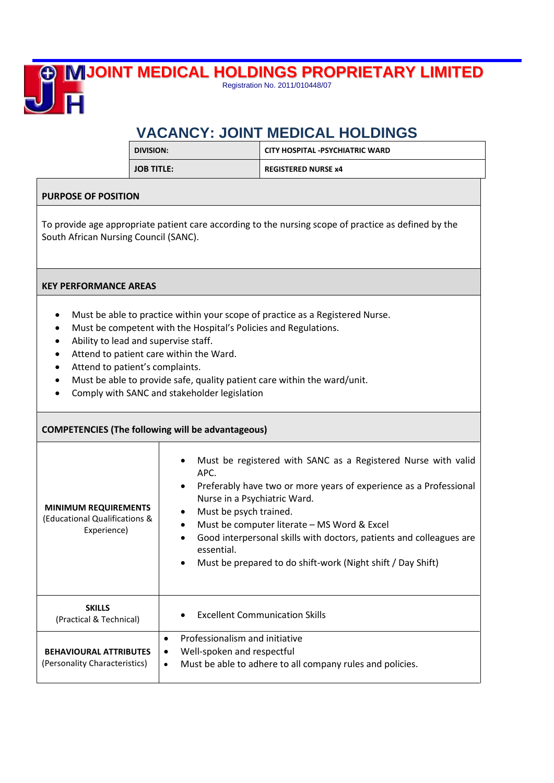## **JOINT MEDICAL HOLDINGS PROPRIETARY LIMITED**

Registration No. 2011/010448/07

## **VACANCY: JOINT MEDICAL HOLDINGS**

| DIVISION:         | <b>CITY HOSPITAL -PSYCHIATRIC WARD</b> |
|-------------------|----------------------------------------|
| <b>JOB TITLE:</b> | <b>REGISTERED NURSE x4</b>             |

## **PURPOSE OF POSITION**

며

To provide age appropriate patient care according to the nursing scope of practice as defined by the South African Nursing Council (SANC).

## **KEY PERFORMANCE AREAS**

- Must be able to practice within your scope of practice as a Registered Nurse.
- Must be competent with the Hospital's Policies and Regulations.
- Ability to lead and supervise staff.
- Attend to patient care within the Ward.
- Attend to patient's complaints.
- Must be able to provide safe, quality patient care within the ward/unit.
- Comply with SANC and stakeholder legislation

| <b>COMPETENCIES (The following will be advantageous)</b>                    |                                                                                                                                                                                                                                                                                                                                                                                                                                             |  |  |
|-----------------------------------------------------------------------------|---------------------------------------------------------------------------------------------------------------------------------------------------------------------------------------------------------------------------------------------------------------------------------------------------------------------------------------------------------------------------------------------------------------------------------------------|--|--|
| <b>MINIMUM REQUIREMENTS</b><br>(Educational Qualifications &<br>Experience) | Must be registered with SANC as a Registered Nurse with valid<br>APC.<br>Preferably have two or more years of experience as a Professional<br>٠<br>Nurse in a Psychiatric Ward.<br>Must be psych trained.<br>$\bullet$<br>Must be computer literate – MS Word & Excel<br>Good interpersonal skills with doctors, patients and colleagues are<br>$\bullet$<br>essential.<br>Must be prepared to do shift-work (Night shift / Day Shift)<br>٠ |  |  |
| <b>SKILLS</b><br>(Practical & Technical)                                    | <b>Excellent Communication Skills</b>                                                                                                                                                                                                                                                                                                                                                                                                       |  |  |
| <b>BEHAVIOURAL ATTRIBUTES</b><br>(Personality Characteristics)              | Professionalism and initiative<br>٠<br>Well-spoken and respectful<br>٠<br>Must be able to adhere to all company rules and policies.<br>$\bullet$                                                                                                                                                                                                                                                                                            |  |  |